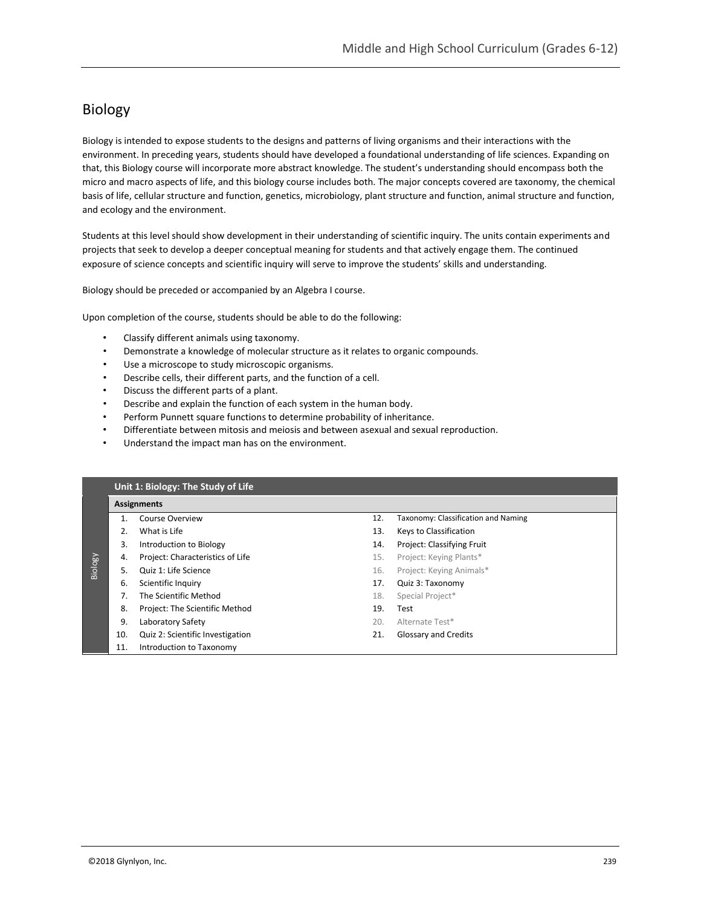# Biology

Biology is intended to expose students to the designs and patterns of living organisms and their interactions with the environment. In preceding years, students should have developed a foundational understanding of life sciences. Expanding on that, this Biology course will incorporate more abstract knowledge. The student's understanding should encompass both the micro and macro aspects of life, and this biology course includes both. The major concepts covered are taxonomy, the chemical basis of life, cellular structure and function, genetics, microbiology, plant structure and function, animal structure and function, and ecology and the environment.

Students at this level should show development in their understanding of scientific inquiry. The units contain experiments and projects that seek to develop a deeper conceptual meaning for students and that actively engage them. The continued exposure of science concepts and scientific inquiry will serve to improve the students' skills and understanding.

Biology should be preceded or accompanied by an Algebra I course.

Upon completion of the course, students should be able to do the following:

- Classify different animals using taxonomy.
- Demonstrate a knowledge of molecular structure as it relates to organic compounds.
- Use a microscope to study microscopic organisms.
- Describe cells, their different parts, and the function of a cell.
- Discuss the different parts of a plant.
- Describe and explain the function of each system in the human body.
- Perform Punnett square functions to determine probability of inheritance.
- Differentiate between mitosis and meiosis and between asexual and sexual reproduction.
- Understand the impact man has on the environment.

|         | Unit 1: Biology: The Study of Life |                                  |     |                                     |  |  |
|---------|------------------------------------|----------------------------------|-----|-------------------------------------|--|--|
|         |                                    | <b>Assignments</b>               |     |                                     |  |  |
|         | 1 <sub>1</sub>                     | Course Overview                  | 12. | Taxonomy: Classification and Naming |  |  |
|         |                                    | What is Life                     | 13. | Keys to Classification              |  |  |
|         | 3.                                 | Introduction to Biology          | 14. | Project: Classifying Fruit          |  |  |
|         | 4.                                 | Project: Characteristics of Life | 15. | Project: Keying Plants*             |  |  |
| Biology | 5.                                 | Quiz 1: Life Science             | 16. | Project: Keying Animals*            |  |  |
|         | 6.                                 | Scientific Inquiry               | 17. | Quiz 3: Taxonomy                    |  |  |
|         | 7.                                 | The Scientific Method            | 18. | Special Project*                    |  |  |
|         | 8.                                 | Project: The Scientific Method   | 19. | Test                                |  |  |
|         | 9.                                 | Laboratory Safety                | 20. | Alternate Test*                     |  |  |
|         | 10.                                | Quiz 2: Scientific Investigation | 21. | Glossary and Credits                |  |  |
|         | 11.                                | Introduction to Taxonomy         |     |                                     |  |  |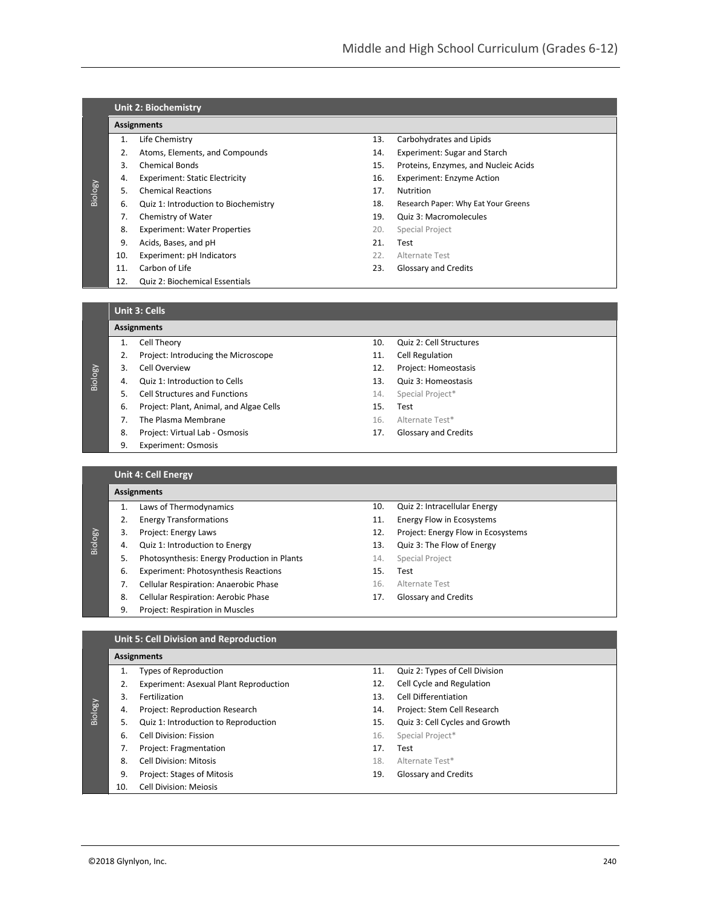|         |     | <b>Unit 2: Biochemistry</b>           |     |                                      |  |  |  |
|---------|-----|---------------------------------------|-----|--------------------------------------|--|--|--|
|         |     | Assignments                           |     |                                      |  |  |  |
|         | 1.  | Life Chemistry                        | 13. | Carbohydrates and Lipids             |  |  |  |
|         | 2.  | Atoms, Elements, and Compounds        | 14. | Experiment: Sugar and Starch         |  |  |  |
|         | 3.  | <b>Chemical Bonds</b>                 | 15. | Proteins, Enzymes, and Nucleic Acids |  |  |  |
|         | 4.  | <b>Experiment: Static Electricity</b> | 16. | <b>Experiment: Enzyme Action</b>     |  |  |  |
| Biology | .5. | <b>Chemical Reactions</b>             | 17. | Nutrition                            |  |  |  |
|         | 6.  | Quiz 1: Introduction to Biochemistry  | 18. | Research Paper: Why Eat Your Greens  |  |  |  |
|         | 7.  | Chemistry of Water                    | 19. | Quiz 3: Macromolecules               |  |  |  |
|         | 8.  | <b>Experiment: Water Properties</b>   | 20. | Special Project                      |  |  |  |
|         | 9.  | Acids, Bases, and pH                  | 21. | Test                                 |  |  |  |
|         | 10. | Experiment: pH Indicators             | 22. | Alternate Test                       |  |  |  |
|         | 11. | Carbon of Life                        | 23. | Glossary and Credits                 |  |  |  |
|         | 12. | <b>Quiz 2: Biochemical Essentials</b> |     |                                      |  |  |  |
|         |     |                                       |     |                                      |  |  |  |
|         |     | $L = L$                               |     |                                      |  |  |  |

### **Unit 3: Cells**

# **Assignments**

- 1. Cell Theory
- 2. Project: Introducing the Microscope
- 3. Cell Overview

Biology

Biology

- 4. Quiz 1: Introduction to Cells
- 5. Cell Structures and Functions
	- 6. Project: Plant, Animal, and Algae Cells
	- 7. The Plasma Membrane
	- 8. Project: Virtual Lab Osmosis
	- 9. Experiment: Osmosis
- 10. Quiz 2: Cell Structures
- 11. Cell Regulation
- 12. Project: Homeostasis
- 13. Quiz 3: Homeostasis
- 14. Special Project\*
- 15. Test
- 16. Alternate Test\*

14. Special Project

15. Test 16. Alternate Test 17. Glossary and Credits

17. Glossary and Credits

10. Quiz 2: Intracellular Energy 11. Energy Flow in Ecosystems 12. Project: Energy Flow in Ecosystems 13. Quiz 3: The Flow of Energy

# **Unit 4: Cell Energy**

# **Assignments** 1. Laws of Thermodynamics

- 2. Energy Transformations
- 3. Project: Energy Laws
- 4. Quiz 1: Introduction to Energy
- 5. Photosynthesis: Energy Production in Plants
- 6. Experiment: Photosynthesis Reactions
- 7. Cellular Respiration: Anaerobic Phase
- 8. Cellular Respiration: Aerobic Phase
- 9. Project: Respiration in Muscles

# **Unit 5: Cell Division and Reproduction**

#### **Assignments** 1. Types of Reproduction

|         |     | Types of Reproduction                         | 11. | Quiz 2: Types of Cell Division |
|---------|-----|-----------------------------------------------|-----|--------------------------------|
|         |     | <b>Experiment: Asexual Plant Reproduction</b> | 12. | Cell Cycle and Regulation      |
|         | 3.  | Fertilization                                 | 13. | Cell Differentiation           |
| Biology | 4.  | Project: Reproduction Research                | 14. | Project: Stem Cell Research    |
|         |     | Quiz 1: Introduction to Reproduction          | 15. | Quiz 3: Cell Cycles and Growth |
|         | 6.  | Cell Division: Fission                        | 16. | Special Project*               |
|         |     | Project: Fragmentation                        | 17. | Test                           |
|         | 8.  | <b>Cell Division: Mitosis</b>                 | 18. | Alternate Test*                |
|         | 9.  | <b>Project: Stages of Mitosis</b>             | 19. | <b>Glossary and Credits</b>    |
|         | 10. | <b>Cell Division: Meiosis</b>                 |     |                                |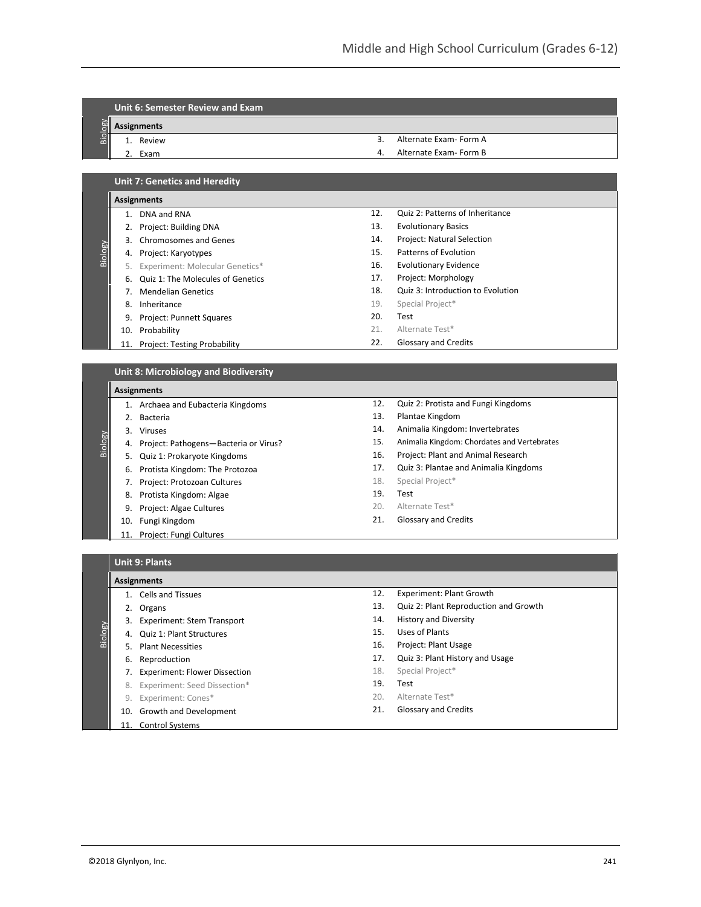# **Unit 6: Semester Review and Exam**

**Assignments**

- Biology 1. Review
	- 2. Exam
- 3. Alternate Exam- Form A
- 4. Alternate Exam- Form B

12. Quiz 2: Patterns of Inheritance

18. Quiz 3: Introduction to Evolution

13. Evolutionary Basics 14. Project: Natural Selection 15. Patterns of Evolution 16. Evolutionary Evidence 17. Project: Morphology

19. Special Project\*

21. Alternate Test\* 22. Glossary and Credits

20. Test

| <b>Unit 7: Genetics and Heredity</b> |
|--------------------------------------|
|--------------------------------------|

#### **Assignments**

Biology

Biology

**Biology** 

- 1. DNA and RNA
- 2. Project: Building DNA
- 3. Chromosomes and Genes
- 4. Project: Karyotypes
- 5. Experiment: Molecular Genetics\*
- 6. Quiz 1: The Molecules of Genetics
- 7. Mendelian Genetics 8. Inheritance
- 9. Project: Punnett Squares
- 10. Probability
- 11. Project: Testing Probability

# **Unit 8: Microbiology and Biodiversity**

#### **Assignments**

- 1. Archaea and Eubacteria Kingdoms
- 2. Bacteria
- 3. Viruses
- 4. Project: Pathogens—Bacteria or Virus?
	- 5. Quiz 1: Prokaryote Kingdoms
	- 6. Protista Kingdom: The Protozoa
	- 7. Project: Protozoan Cultures
	- 8. Protista Kingdom: Algae
- 9. Project: Algae Cultures
- 10. Fungi Kingdom
- 11. Project: Fungi Cultures
- 
- 12. Quiz 2: Protista and Fungi Kingdoms
- 13. Plantae Kingdom
- 14. Animalia Kingdom: Invertebrates
- 15. Animalia Kingdom: Chordates and Vertebrates
- 16. Project: Plant and Animal Research
- 17. Quiz 3: Plantae and Animalia Kingdoms
- 18. Special Project\*
- 19. Test
- 20. Alternate Test\*
- 21. Glossary and Credits

## **Unit 9: Plants**

# **Assignments**

- 1. Cells and Tissues
- 2. Organs
- 3. Experiment: Stem Transport
- 4. Quiz 1: Plant Structures
- 5. Plant Necessities
- 6. Reproduction
- 7. Experiment: Flower Dissection
- 8. Experiment: Seed Dissection\*
- 9. Experiment: Cones\*
- 10. Growth and Development
- Control Systems
- 12. Experiment: Plant Growth
- 13. Quiz 2: Plant Reproduction and Growth
- 14. History and Diversity
- 15. Uses of Plants
- 16. Project: Plant Usage
- 17. Quiz 3: Plant History and Usage
- 18. Special Project\*
- 19. Test
- 20. Alternate Test\*
- 21. Glossary and Credits